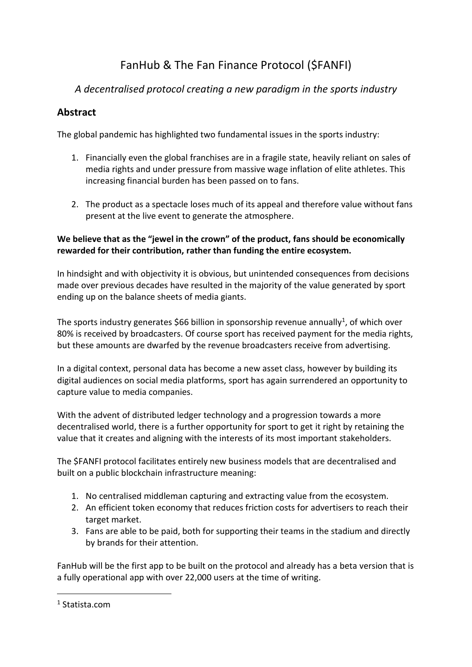# FanHub & The Fan Finance Protocol (\$FANFI)

# *A decentralised protocol creating a new paradigm in the sports industry*

# **Abstract**

The global pandemic has highlighted two fundamental issues in the sports industry:

- 1. Financially even the global franchises are in a fragile state, heavily reliant on sales of media rights and under pressure from massive wage inflation of elite athletes. This increasing financial burden has been passed on to fans.
- 2. The product as a spectacle loses much of its appeal and therefore value without fans present at the live event to generate the atmosphere.

#### **We believe that as the "jewel in the crown" of the product, fans should be economically rewarded for their contribution, rather than funding the entire ecosystem.**

In hindsight and with objectivity it is obvious, but unintended consequences from decisions made over previous decades have resulted in the majority of the value generated by sport ending up on the balance sheets of media giants.

The sports industry generates \$66 billion in sponsorship revenue annually<sup>1</sup>, of which over 80% is received by broadcasters. Of course sport has received payment for the media rights, but these amounts are dwarfed by the revenue broadcasters receive from advertising.

In a digital context, personal data has become a new asset class, however by building its digital audiences on social media platforms, sport has again surrendered an opportunity to capture value to media companies.

With the advent of distributed ledger technology and a progression towards a more decentralised world, there is a further opportunity for sport to get it right by retaining the value that it creates and aligning with the interests of its most important stakeholders.

The \$FANFI protocol facilitates entirely new business models that are decentralised and built on a public blockchain infrastructure meaning:

- 1. No centralised middleman capturing and extracting value from the ecosystem.
- 2. An efficient token economy that reduces friction costs for advertisers to reach their target market.
- 3. Fans are able to be paid, both for supporting their teams in the stadium and directly by brands for their attention.

FanHub will be the first app to be built on the protocol and already has a beta version that is a fully operational app with over 22,000 users at the time of writing.

<sup>1</sup> Statista.com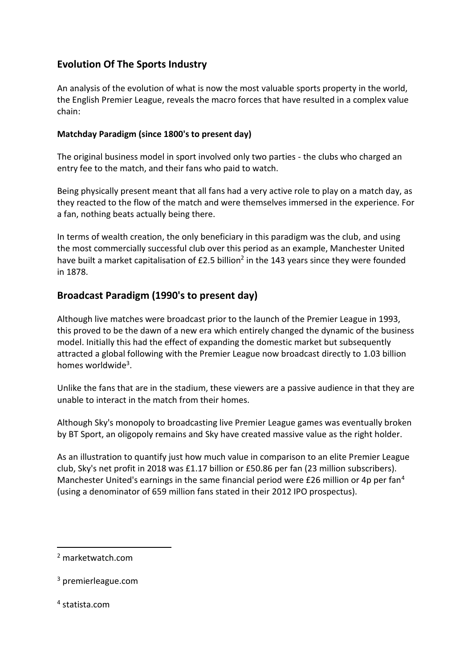# **Evolution Of The Sports Industry**

An analysis of the evolution of what is now the most valuable sports property in the world, the English Premier League, reveals the macro forces that have resulted in a complex value chain:

#### **Matchday Paradigm (since 1800's to present day)**

The original business model in sport involved only two parties - the clubs who charged an entry fee to the match, and their fans who paid to watch.

Being physically present meant that all fans had a very active role to play on a match day, as they reacted to the flow of the match and were themselves immersed in the experience. For a fan, nothing beats actually being there.

In terms of wealth creation, the only beneficiary in this paradigm was the club, and using the most commercially successful club over this period as an example, Manchester United have built a market capitalisation of £2.5 billion<sup>2</sup> in the 143 years since they were founded in 1878.

# **Broadcast Paradigm (1990's to present day)**

Although live matches were broadcast prior to the launch of the Premier League in 1993, this proved to be the dawn of a new era which entirely changed the dynamic of the business model. Initially this had the effect of expanding the domestic market but subsequently attracted a global following with the Premier League now broadcast directly to 1.03 billion homes worldwide<sup>3</sup>.

Unlike the fans that are in the stadium, these viewers are a passive audience in that they are unable to interact in the match from their homes.

Although Sky's monopoly to broadcasting live Premier League games was eventually broken by BT Sport, an oligopoly remains and Sky have created massive value as the right holder.

As an illustration to quantify just how much value in comparison to an elite Premier League club, Sky's net profit in 2018 was £1.17 billion or £50.86 per fan (23 million subscribers). Manchester United's earnings in the same financial period were £26 million or 4p per fan<sup>4</sup> (using a denominator of 659 million fans stated in their 2012 IPO prospectus).

4 statista.com

<sup>2</sup> marketwatch.com

<sup>3</sup> premierleague.com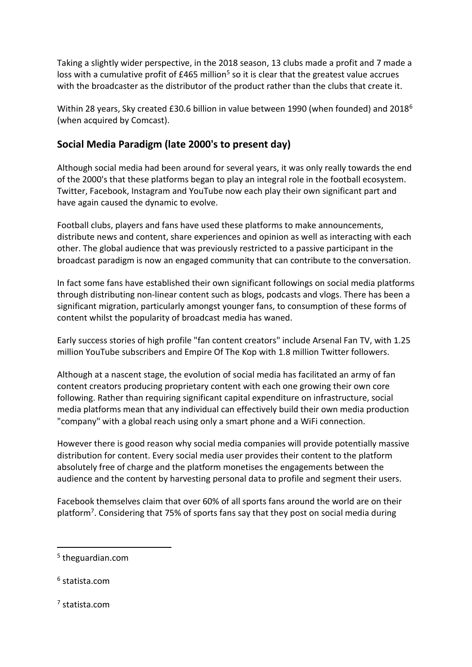Taking a slightly wider perspective, in the 2018 season, 13 clubs made a profit and 7 made a loss with a cumulative profit of £465 million<sup>5</sup> so it is clear that the greatest value accrues with the broadcaster as the distributor of the product rather than the clubs that create it.

Within 28 years, Sky created £30.6 billion in value between 1990 (when founded) and 2018<sup>6</sup> (when acquired by Comcast).

# **Social Media Paradigm (late 2000's to present day)**

Although social media had been around for several years, it was only really towards the end of the 2000's that these platforms began to play an integral role in the football ecosystem. Twitter, Facebook, Instagram and YouTube now each play their own significant part and have again caused the dynamic to evolve.

Football clubs, players and fans have used these platforms to make announcements, distribute news and content, share experiences and opinion as well as interacting with each other. The global audience that was previously restricted to a passive participant in the broadcast paradigm is now an engaged community that can contribute to the conversation.

In fact some fans have established their own significant followings on social media platforms through distributing non-linear content such as blogs, podcasts and vlogs. There has been a significant migration, particularly amongst younger fans, to consumption of these forms of content whilst the popularity of broadcast media has waned.

Early success stories of high profile "fan content creators" include Arsenal Fan TV, with 1.25 million YouTube subscribers and Empire Of The Kop with 1.8 million Twitter followers.

Although at a nascent stage, the evolution of social media has facilitated an army of fan content creators producing proprietary content with each one growing their own core following. Rather than requiring significant capital expenditure on infrastructure, social media platforms mean that any individual can effectively build their own media production "company" with a global reach using only a smart phone and a WiFi connection.

However there is good reason why social media companies will provide potentially massive distribution for content. Every social media user provides their content to the platform absolutely free of charge and the platform monetises the engagements between the audience and the content by harvesting personal data to profile and segment their users.

Facebook themselves claim that over 60% of all sports fans around the world are on their platform<sup>7</sup> . Considering that 75% of sports fans say that they post on social media during

- 6 statista.com
- 7 statista.com

<sup>5</sup> theguardian.com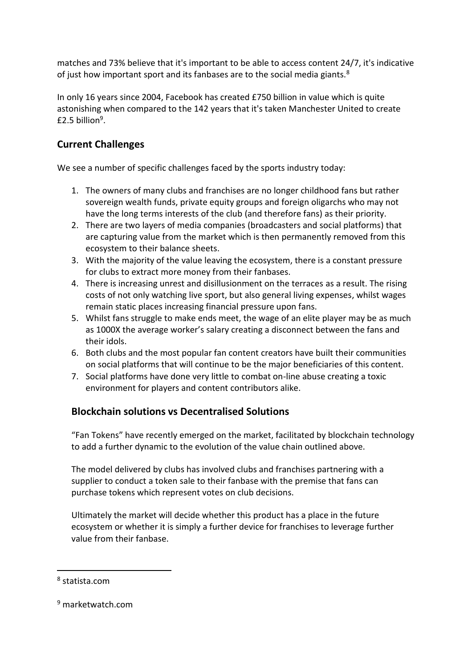matches and 73% believe that it's important to be able to access content 24/7, it's indicative of just how important sport and its fanbases are to the social media giants.<sup>8</sup>

In only 16 years since 2004, Facebook has created £750 billion in value which is quite astonishing when compared to the 142 years that it's taken Manchester United to create  $£2.5$  billion $9.$ 

# **Current Challenges**

We see a number of specific challenges faced by the sports industry today:

- 1. The owners of many clubs and franchises are no longer childhood fans but rather sovereign wealth funds, private equity groups and foreign oligarchs who may not have the long terms interests of the club (and therefore fans) as their priority.
- 2. There are two layers of media companies (broadcasters and social platforms) that are capturing value from the market which is then permanently removed from this ecosystem to their balance sheets.
- 3. With the majority of the value leaving the ecosystem, there is a constant pressure for clubs to extract more money from their fanbases.
- 4. There is increasing unrest and disillusionment on the terraces as a result. The rising costs of not only watching live sport, but also general living expenses, whilst wages remain static places increasing financial pressure upon fans.
- 5. Whilst fans struggle to make ends meet, the wage of an elite player may be as much as 1000X the average worker's salary creating a disconnect between the fans and their idols.
- 6. Both clubs and the most popular fan content creators have built their communities on social platforms that will continue to be the major beneficiaries of this content.
- 7. Social platforms have done very little to combat on-line abuse creating a toxic environment for players and content contributors alike.

# **Blockchain solutions vs Decentralised Solutions**

"Fan Tokens" have recently emerged on the market, facilitated by blockchain technology to add a further dynamic to the evolution of the value chain outlined above.

The model delivered by clubs has involved clubs and franchises partnering with a supplier to conduct a token sale to their fanbase with the premise that fans can purchase tokens which represent votes on club decisions.

Ultimately the market will decide whether this product has a place in the future ecosystem or whether it is simply a further device for franchises to leverage further value from their fanbase.

<sup>8</sup> statista.com

<sup>9</sup> marketwatch.com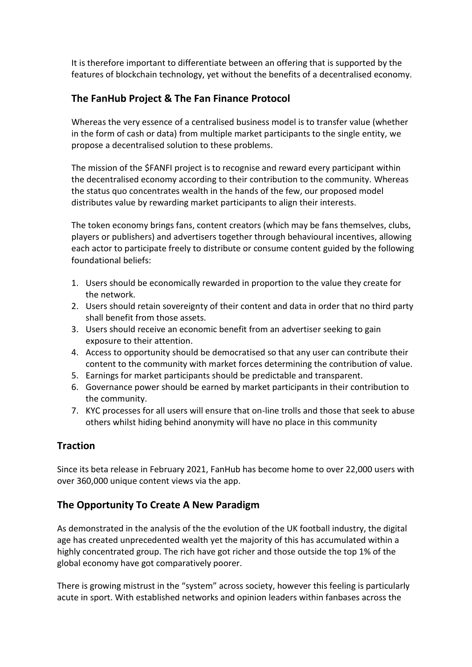It is therefore important to differentiate between an offering that is supported by the features of blockchain technology, yet without the benefits of a decentralised economy.

# **The FanHub Project & The Fan Finance Protocol**

Whereas the very essence of a centralised business model is to transfer value (whether in the form of cash or data) from multiple market participants to the single entity, we propose a decentralised solution to these problems.

The mission of the \$FANFI project is to recognise and reward every participant within the decentralised economy according to their contribution to the community. Whereas the status quo concentrates wealth in the hands of the few, our proposed model distributes value by rewarding market participants to align their interests.

The token economy brings fans, content creators (which may be fans themselves, clubs, players or publishers) and advertisers together through behavioural incentives, allowing each actor to participate freely to distribute or consume content guided by the following foundational beliefs:

- 1. Users should be economically rewarded in proportion to the value they create for the network.
- 2. Users should retain sovereignty of their content and data in order that no third party shall benefit from those assets.
- 3. Users should receive an economic benefit from an advertiser seeking to gain exposure to their attention.
- 4. Access to opportunity should be democratised so that any user can contribute their content to the community with market forces determining the contribution of value.
- 5. Earnings for market participants should be predictable and transparent.
- 6. Governance power should be earned by market participants in their contribution to the community.
- 7. KYC processes for all users will ensure that on-line trolls and those that seek to abuse others whilst hiding behind anonymity will have no place in this community

# **Traction**

Since its beta release in February 2021, FanHub has become home to over 22,000 users with over 360,000 unique content views via the app.

# **The Opportunity To Create A New Paradigm**

As demonstrated in the analysis of the the evolution of the UK football industry, the digital age has created unprecedented wealth yet the majority of this has accumulated within a highly concentrated group. The rich have got richer and those outside the top 1% of the global economy have got comparatively poorer.

There is growing mistrust in the "system" across society, however this feeling is particularly acute in sport. With established networks and opinion leaders within fanbases across the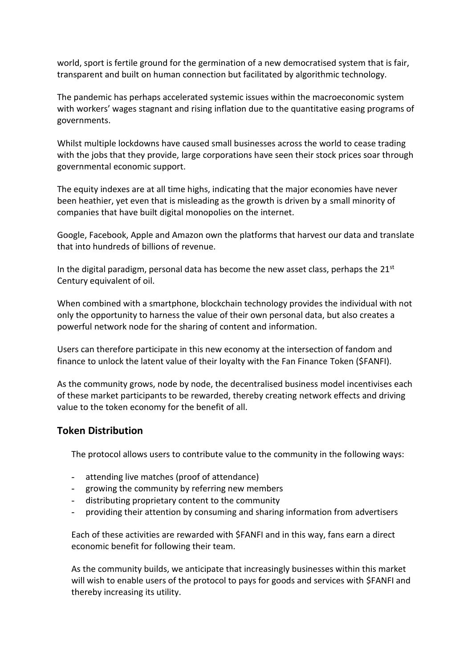world, sport is fertile ground for the germination of a new democratised system that is fair, transparent and built on human connection but facilitated by algorithmic technology.

The pandemic has perhaps accelerated systemic issues within the macroeconomic system with workers' wages stagnant and rising inflation due to the quantitative easing programs of governments.

Whilst multiple lockdowns have caused small businesses across the world to cease trading with the jobs that they provide, large corporations have seen their stock prices soar through governmental economic support.

The equity indexes are at all time highs, indicating that the major economies have never been heathier, yet even that is misleading as the growth is driven by a small minority of companies that have built digital monopolies on the internet.

Google, Facebook, Apple and Amazon own the platforms that harvest our data and translate that into hundreds of billions of revenue.

In the digital paradigm, personal data has become the new asset class, perhaps the 21<sup>st</sup> Century equivalent of oil.

When combined with a smartphone, blockchain technology provides the individual with not only the opportunity to harness the value of their own personal data, but also creates a powerful network node for the sharing of content and information.

Users can therefore participate in this new economy at the intersection of fandom and finance to unlock the latent value of their loyalty with the Fan Finance Token (\$FANFI).

As the community grows, node by node, the decentralised business model incentivises each of these market participants to be rewarded, thereby creating network effects and driving value to the token economy for the benefit of all.

### **Token Distribution**

The protocol allows users to contribute value to the community in the following ways:

- attending live matches (proof of attendance)
- growing the community by referring new members
- distributing proprietary content to the community
- providing their attention by consuming and sharing information from advertisers

Each of these activities are rewarded with \$FANFI and in this way, fans earn a direct economic benefit for following their team.

As the community builds, we anticipate that increasingly businesses within this market will wish to enable users of the protocol to pays for goods and services with \$FANFI and thereby increasing its utility.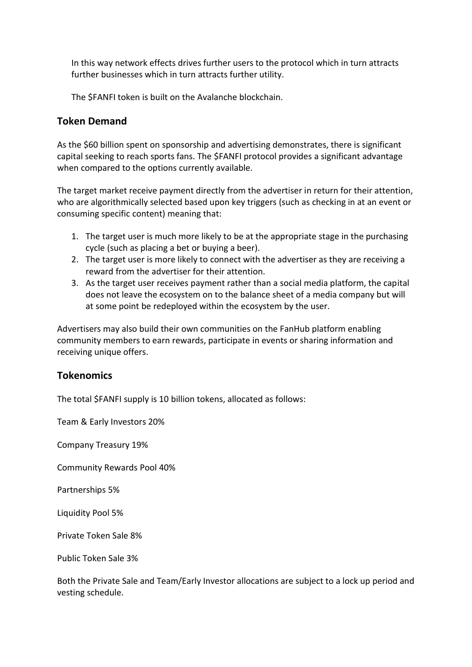In this way network effects drives further users to the protocol which in turn attracts further businesses which in turn attracts further utility.

The \$FANFI token is built on the Avalanche blockchain.

### **Token Demand**

As the \$60 billion spent on sponsorship and advertising demonstrates, there is significant capital seeking to reach sports fans. The \$FANFI protocol provides a significant advantage when compared to the options currently available.

The target market receive payment directly from the advertiser in return for their attention, who are algorithmically selected based upon key triggers (such as checking in at an event or consuming specific content) meaning that:

- 1. The target user is much more likely to be at the appropriate stage in the purchasing cycle (such as placing a bet or buying a beer).
- 2. The target user is more likely to connect with the advertiser as they are receiving a reward from the advertiser for their attention.
- 3. As the target user receives payment rather than a social media platform, the capital does not leave the ecosystem on to the balance sheet of a media company but will at some point be redeployed within the ecosystem by the user.

Advertisers may also build their own communities on the FanHub platform enabling community members to earn rewards, participate in events or sharing information and receiving unique offers.

### **Tokenomics**

The total \$FANFI supply is 10 billion tokens, allocated as follows:

Team & Early Investors 20%

Company Treasury 19%

Community Rewards Pool 40%

Partnerships 5%

Liquidity Pool 5%

Private Token Sale 8%

Public Token Sale 3%

Both the Private Sale and Team/Early Investor allocations are subject to a lock up period and vesting schedule.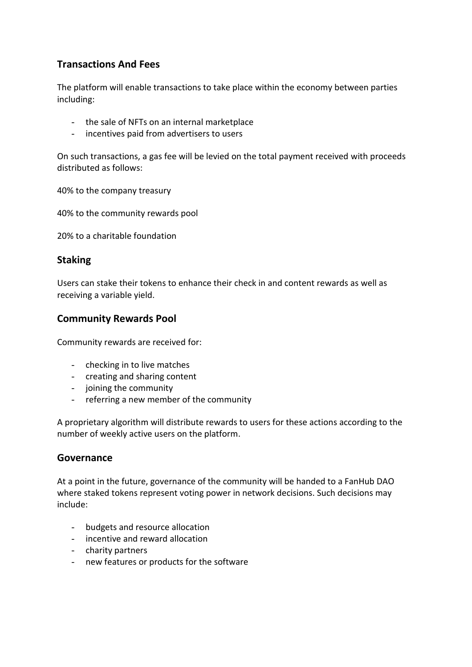# **Transactions And Fees**

The platform will enable transactions to take place within the economy between parties including:

- the sale of NFTs on an internal marketplace
- incentives paid from advertisers to users

On such transactions, a gas fee will be levied on the total payment received with proceeds distributed as follows:

40% to the company treasury

40% to the community rewards pool

20% to a charitable foundation

#### **Staking**

Users can stake their tokens to enhance their check in and content rewards as well as receiving a variable yield.

### **Community Rewards Pool**

Community rewards are received for:

- checking in to live matches
- creating and sharing content
- joining the community
- referring a new member of the community

A proprietary algorithm will distribute rewards to users for these actions according to the number of weekly active users on the platform.

### **Governance**

At a point in the future, governance of the community will be handed to a FanHub DAO where staked tokens represent voting power in network decisions. Such decisions may include:

- budgets and resource allocation
- incentive and reward allocation
- charity partners
- new features or products for the software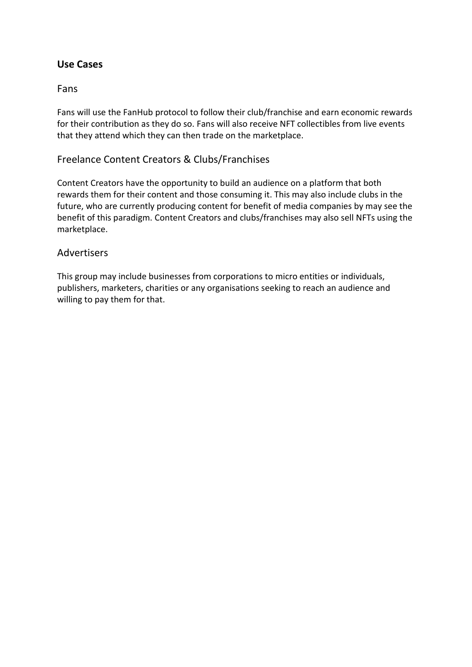### **Use Cases**

### Fans

Fans will use the FanHub protocol to follow their club/franchise and earn economic rewards for their contribution as they do so. Fans will also receive NFT collectibles from live events that they attend which they can then trade on the marketplace.

### Freelance Content Creators & Clubs/Franchises

Content Creators have the opportunity to build an audience on a platform that both rewards them for their content and those consuming it. This may also include clubs in the future, who are currently producing content for benefit of media companies by may see the benefit of this paradigm. Content Creators and clubs/franchises may also sell NFTs using the marketplace.

#### **Advertisers**

This group may include businesses from corporations to micro entities or individuals, publishers, marketers, charities or any organisations seeking to reach an audience and willing to pay them for that.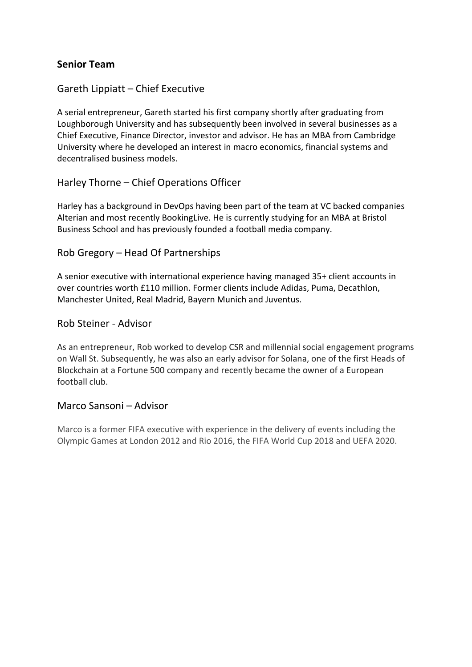### **Senior Team**

### Gareth Lippiatt – Chief Executive

A serial entrepreneur, Gareth started his first company shortly after graduating from Loughborough University and has subsequently been involved in several businesses as a Chief Executive, Finance Director, investor and advisor. He has an MBA from Cambridge University where he developed an interest in macro economics, financial systems and decentralised business models.

### Harley Thorne – Chief Operations Officer

Harley has a background in DevOps having been part of the team at VC backed companies Alterian and most recently BookingLive. He is currently studying for an MBA at Bristol Business School and has previously founded a football media company.

#### Rob Gregory – Head Of Partnerships

A senior executive with international experience having managed 35+ client accounts in over countries worth £110 million. Former clients include Adidas, Puma, Decathlon, Manchester United, Real Madrid, Bayern Munich and Juventus.

#### Rob Steiner - Advisor

As an entrepreneur, Rob worked to develop CSR and millennial social engagement programs on Wall St. Subsequently, he was also an early advisor for Solana, one of the first Heads of Blockchain at a Fortune 500 company and recently became the owner of a European football club.

#### Marco Sansoni – Advisor

Marco is a former FIFA executive with experience in the delivery of events including the Olympic Games at London 2012 and Rio 2016, the FIFA World Cup 2018 and UEFA 2020.